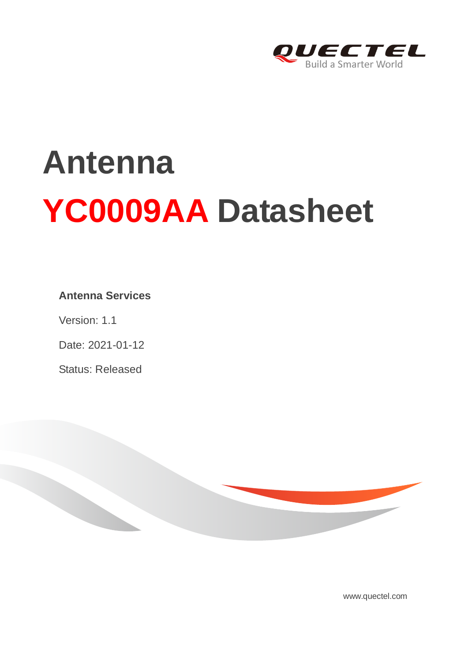

# **Antenna YC0009AA Datasheet**

#### **Antenna Services**

Version: 1.1

Date: 2021-01-12

Status: Released



[www.quectel.com](http://www.quectel.com/)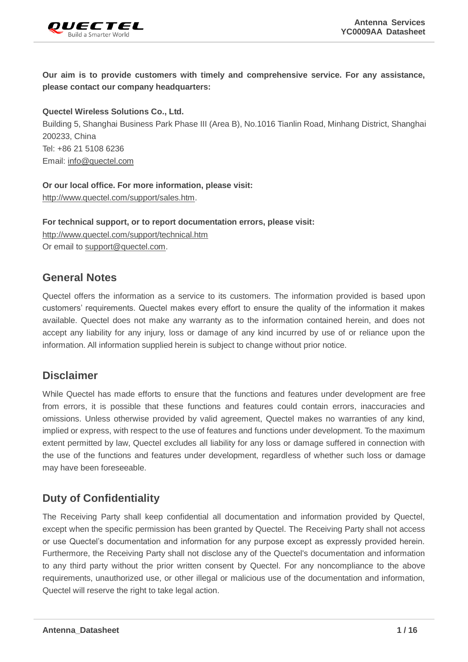

**Our aim is to provide customers with timely and comprehensive service. For any assistance, please contact our company headquarters:**

**Quectel Wireless Solutions Co., Ltd.** 

Building 5, Shanghai Business Park Phase III (Area B), No.1016 Tianlin Road, Minhang District, Shanghai 200233, China Tel: +86 21 5108 6236 Email: [info@quectel.com](mailto:info@quectel.com)

**Or our local office. For more information, please visit:**  [http://www.quectel.com/support/sales.htm.](http://www.quectel.com/support/sales.htm)

**For technical support, or to report documentation errors, please visit:**  <http://www.quectel.com/support/technical.htm> Or email to [support@quectel.com.](mailto:support@quectel.com)

#### **General Notes**

Quectel offers the information as a service to its customers. The information provided is based upon customers' requirements. Quectel makes every effort to ensure the quality of the information it makes available. Quectel does not make any warranty as to the information contained herein, and does not accept any liability for any injury, loss or damage of any kind incurred by use of or reliance upon the information. All information supplied herein is subject to change without prior notice.

#### **Disclaimer**

While Quectel has made efforts to ensure that the functions and features under development are free from errors, it is possible that these functions and features could contain errors, inaccuracies and omissions. Unless otherwise provided by valid agreement, Quectel makes no warranties of any kind, implied or express, with respect to the use of features and functions under development. To the maximum extent permitted by law, Quectel excludes all liability for any loss or damage suffered in connection with the use of the functions and features under development, regardless of whether such loss or damage may have been foreseeable.

## **Duty of Confidentiality**

The Receiving Party shall keep confidential all documentation and information provided by Quectel, except when the specific permission has been granted by Quectel. The Receiving Party shall not access or use Quectel's documentation and information for any purpose except as expressly provided herein. Furthermore, the Receiving Party shall not disclose any of the Quectel's documentation and information to any third party without the prior written consent by Quectel. For any noncompliance to the above requirements, unauthorized use, or other illegal or malicious use of the documentation and information, Quectel will reserve the right to take legal action.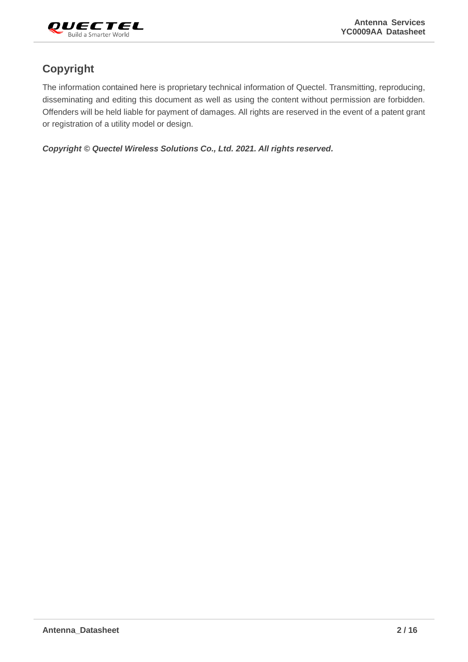

## **Copyright**

The information contained here is proprietary technical information of Quectel. Transmitting, reproducing, disseminating and editing this document as well as using the content without permission are forbidden. Offenders will be held liable for payment of damages. All rights are reserved in the event of a patent grant or registration of a utility model or design.

*Copyright © Quectel Wireless Solutions Co., Ltd. 2021. All rights reserved.*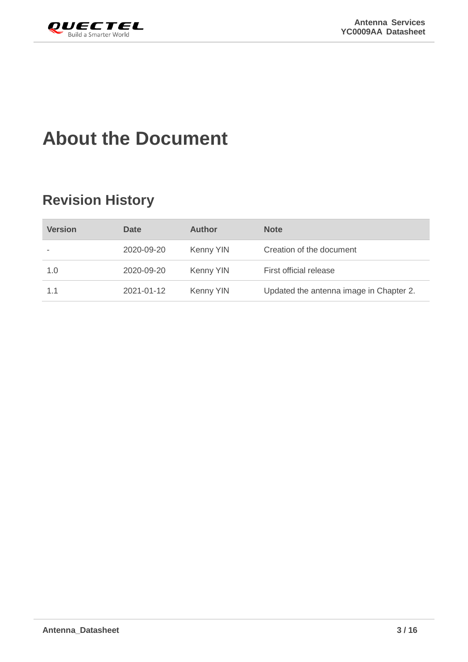<span id="page-3-0"></span>

## **About the Document**

## **Revision History**

| <b>Version</b> | <b>Date</b> | <b>Author</b> | <b>Note</b>                             |
|----------------|-------------|---------------|-----------------------------------------|
|                | 2020-09-20  | Kenny YIN     | Creation of the document                |
| 1.0            | 2020-09-20  | Kenny YIN     | First official release                  |
| 1.1            | 2021-01-12  | Kenny YIN     | Updated the antenna image in Chapter 2. |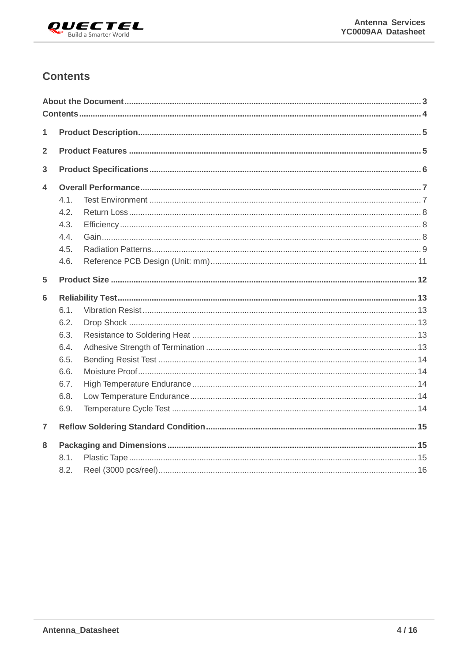

## <span id="page-4-0"></span>**Contents**

| 1              |      |  |
|----------------|------|--|
| $\overline{2}$ |      |  |
| 3              |      |  |
| 4              |      |  |
|                | 4.1. |  |
|                | 4.2. |  |
|                | 4.3. |  |
|                | 4.4. |  |
|                | 4.5. |  |
|                | 4.6. |  |
| 5              |      |  |
|                |      |  |
| $6\phantom{1}$ |      |  |
|                | 6.1. |  |
|                | 6.2. |  |
|                | 6.3. |  |
|                | 6.4. |  |
|                | 6.5. |  |
|                | 6.6. |  |
|                | 6.7. |  |
|                | 6.8. |  |
|                | 6.9. |  |
| $\overline{7}$ |      |  |
| 8              |      |  |
|                | 8.1. |  |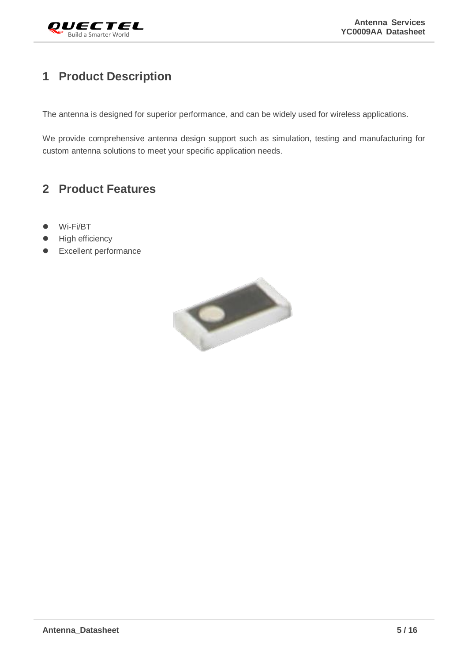

## <span id="page-5-0"></span>**1 Product Description**

The antenna is designed for superior performance, and can be widely used for wireless applications.

We provide comprehensive antenna design support such as simulation, testing and manufacturing for custom antenna solutions to meet your specific application needs.

## <span id="page-5-1"></span>**2 Product Features**

- Wi-Fi/BT
- **•** High efficiency
- **•** Excellent performance

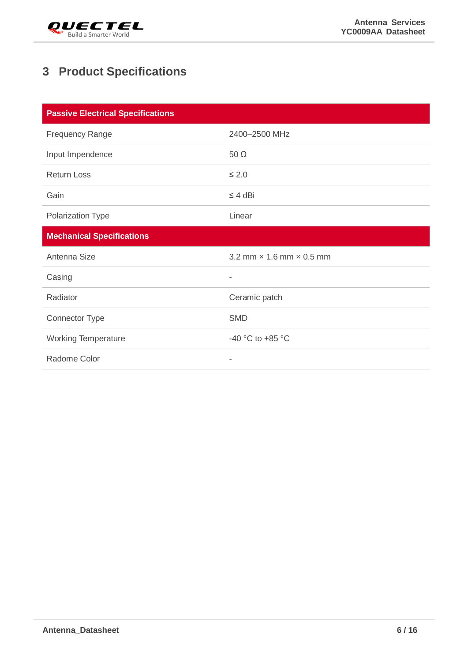

## <span id="page-6-0"></span>**3 Product Specifications**

| <b>Passive Electrical Specifications</b> |                                        |  |
|------------------------------------------|----------------------------------------|--|
| <b>Frequency Range</b>                   | 2400-2500 MHz                          |  |
| Input Impendence                         | $50 \Omega$                            |  |
| <b>Return Loss</b>                       | $\leq 2.0$                             |  |
| Gain                                     | $\leq 4$ dBi                           |  |
| Polarization Type                        | Linear                                 |  |
| <b>Mechanical Specifications</b>         |                                        |  |
| Antenna Size                             | 3.2 mm $\times$ 1.6 mm $\times$ 0.5 mm |  |
| Casing                                   | $\overline{\phantom{a}}$               |  |
| Radiator                                 | Ceramic patch                          |  |
| <b>Connector Type</b>                    | <b>SMD</b>                             |  |
| <b>Working Temperature</b>               | -40 °C to +85 °C                       |  |
| Radome Color                             | -                                      |  |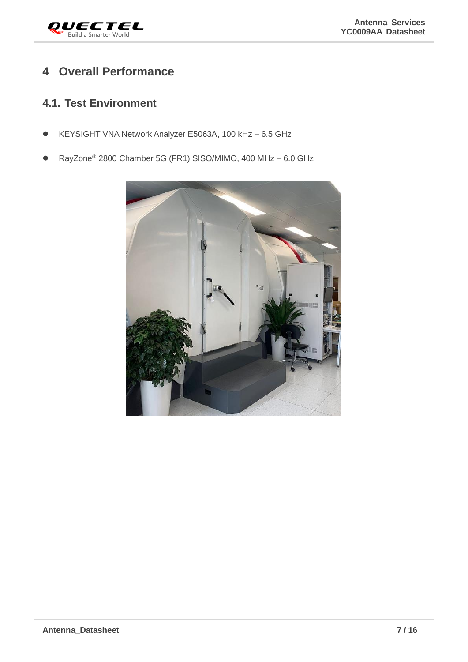

## <span id="page-7-0"></span>**4 Overall Performance**

### <span id="page-7-1"></span>**4.1. Test Environment**

- KEYSIGHT VNA Network Analyzer E5063A, 100 kHz 6.5 GHz
- RayZone® 2800 Chamber 5G (FR1) SISO/MIMO, 400 MHz 6.0 GHz

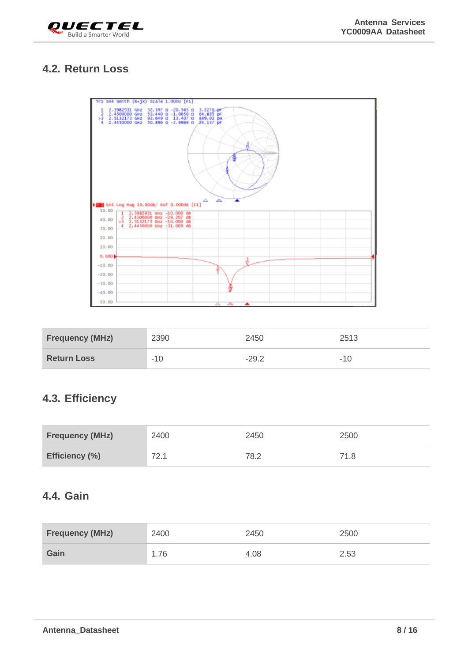

## <span id="page-8-0"></span>**4.2. Return Loss**

| $tri$ 544 Smith $(R+ jx)$ Scale 1.0000 [F1]                                                                                                                                                                                                           |
|-------------------------------------------------------------------------------------------------------------------------------------------------------------------------------------------------------------------------------------------------------|
| 32.597 Ω -20.565 Ω<br>2.3982931 GHZ<br>3.2270.07<br>$53.440$ $\Omega$ -1.0050 $\Omega$<br>64.635 pF<br>849.02 pH<br>2.4500000 GHZ<br>2.5132173 GHz 93.649 0 13.407 0 849.02 pH<br>2.4450000 GHz 50.896 0 -2.6969 0 24.137 pF<br>>3 2.5132173 GHz<br>л |
|                                                                                                                                                                                                                                                       |
|                                                                                                                                                                                                                                                       |
|                                                                                                                                                                                                                                                       |
|                                                                                                                                                                                                                                                       |
| ◬<br>▵                                                                                                                                                                                                                                                |
| > 122 544 Log Mag 10.00dB/ Ref 0.000dB [F1]                                                                                                                                                                                                           |
| 50.00<br>2.3982931 GHZ -10.000 ds<br>$\frac{1}{2}$                                                                                                                                                                                                    |
| 2.4500000 GHz -29.207 dB<br>2.5132173 GHz -10.000 dB<br>40.00<br>2.4450000 GHz -31.009 dB<br>A.                                                                                                                                                       |
| 30.00                                                                                                                                                                                                                                                 |
| 20.00                                                                                                                                                                                                                                                 |
| 10.00                                                                                                                                                                                                                                                 |
| 0.000                                                                                                                                                                                                                                                 |
| $-10.00$                                                                                                                                                                                                                                              |
| $-20.00$                                                                                                                                                                                                                                              |
| $-30.00$                                                                                                                                                                                                                                              |
| $-40.00$                                                                                                                                                                                                                                              |
| $-50.00$<br>▴<br>▵                                                                                                                                                                                                                                    |

| <b>Frequency (MHz)</b> | 2390  | 2450    | 2513  |
|------------------------|-------|---------|-------|
| <b>Return Loss</b>     | $-10$ | $-29.2$ | $-10$ |

## <span id="page-8-1"></span>**4.3. Efficiency**

| <b>Frequency (MHz)</b> | 2400 | 2450 | 2500 |
|------------------------|------|------|------|
| Efficiency (%)         | 72.1 | 78.2 | 71.8 |

### <span id="page-8-2"></span>**4.4. Gain**

| <b>Frequency (MHz)</b> | 2400 | 2450 | 2500 |
|------------------------|------|------|------|
| Gain                   | 1.76 | 4.08 | 2.53 |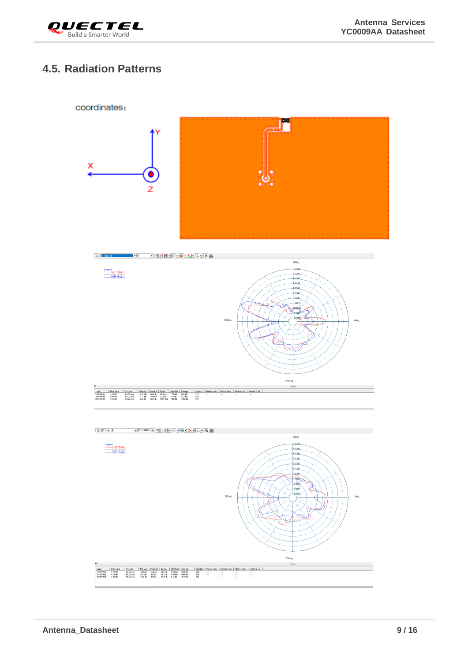

## <span id="page-9-0"></span>**4.5. Radiation Patterns**



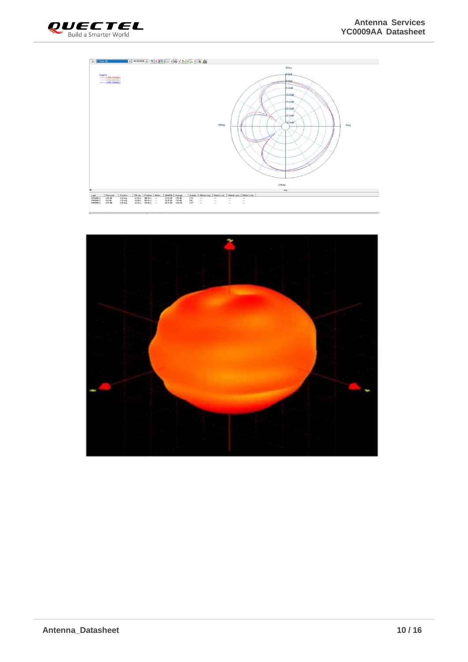



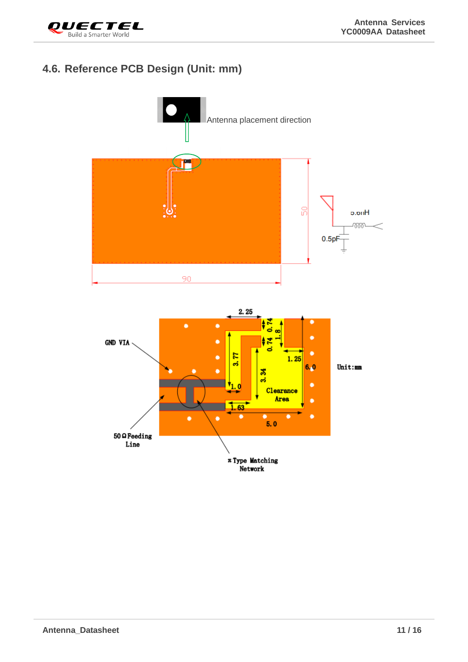

## <span id="page-11-0"></span>**4.6. Reference PCB Design (Unit: mm)**

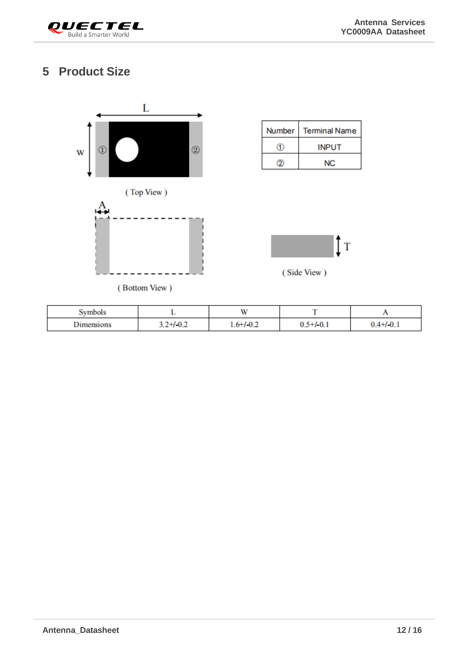

## <span id="page-12-0"></span>**5 Product Size**



(Bottom View)

| Number | Terminal Name |
|--------|---------------|
|        | INPUT         |
|        |               |





| $D$ imensions | $3.2 + 0.2$ | $1.6 + 0.2$ | $5+/-0.1$<br>$\mathbf{v}$ . | $4+/-0.1$ |
|---------------|-------------|-------------|-----------------------------|-----------|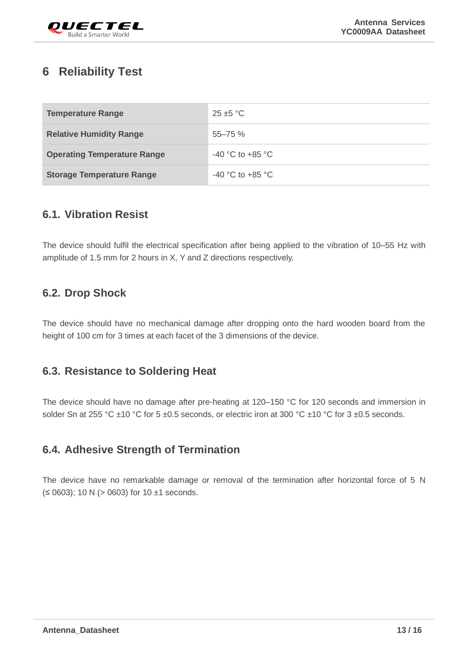

## <span id="page-13-0"></span>**6 Reliability Test**

| <b>Temperature Range</b>           | $25 + 5$ °C          |
|------------------------------------|----------------------|
| <b>Relative Humidity Range</b>     | $55 - 75%$           |
| <b>Operating Temperature Range</b> | $-40$ °C to $+85$ °C |
| <b>Storage Temperature Range</b>   | $-40$ °C to $+85$ °C |

#### <span id="page-13-1"></span>**6.1. Vibration Resist**

The device should fulfil the electrical specification after being applied to the vibration of 10–55 Hz with amplitude of 1.5 mm for 2 hours in X, Y and Z directions respectively.

#### <span id="page-13-2"></span>**6.2. Drop Shock**

The device should have no mechanical damage after dropping onto the hard wooden board from the height of 100 cm for 3 times at each facet of the 3 dimensions of the device.

#### <span id="page-13-3"></span>**6.3. Resistance to Soldering Heat**

The device should have no damage after pre-heating at 120–150 °C for 120 seconds and immersion in solder Sn at 255 °C  $\pm$ 10 °C for 5  $\pm$ 0.5 seconds, or electric iron at 300 °C  $\pm$ 10 °C for 3  $\pm$ 0.5 seconds.

#### <span id="page-13-4"></span>**6.4. Adhesive Strength of Termination**

The device have no remarkable damage or removal of the termination after horizontal force of 5 N  $(50603)$ ; 10 N (> 0603) for 10 ±1 seconds.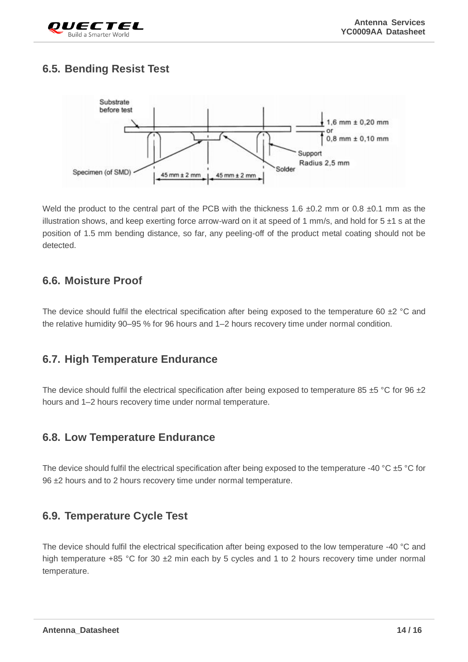

## <span id="page-14-0"></span>**6.5. Bending Resist Test**



Weld the product to the central part of the PCB with the thickness 1.6  $\pm$ 0.2 mm or 0.8  $\pm$ 0.1 mm as the illustration shows, and keep exerting force arrow-ward on it at speed of 1 mm/s, and hold for  $5 \pm 1$  s at the position of 1.5 mm bending distance, so far, any peeling-off of the product metal coating should not be detected.

#### <span id="page-14-1"></span>**6.6. Moisture Proof**

The device should fulfil the electrical specification after being exposed to the temperature 60  $\pm$ 2 °C and the relative humidity 90–95 % for 96 hours and 1–2 hours recovery time under normal condition.

#### <span id="page-14-2"></span>**6.7. High Temperature Endurance**

The device should fulfil the electrical specification after being exposed to temperature 85  $\pm$ 5 °C for 96  $\pm$ 2 hours and 1–2 hours recovery time under normal temperature.

#### <span id="page-14-3"></span>**6.8. Low Temperature Endurance**

The device should fulfil the electrical specification after being exposed to the temperature -40 °C ±5 °C for 96  $±2$  hours and to 2 hours recovery time under normal temperature.

#### <span id="page-14-4"></span>**6.9. Temperature Cycle Test**

The device should fulfil the electrical specification after being exposed to the low temperature -40 °C and high temperature +85 °C for 30  $\pm$ 2 min each by 5 cycles and 1 to 2 hours recovery time under normal temperature.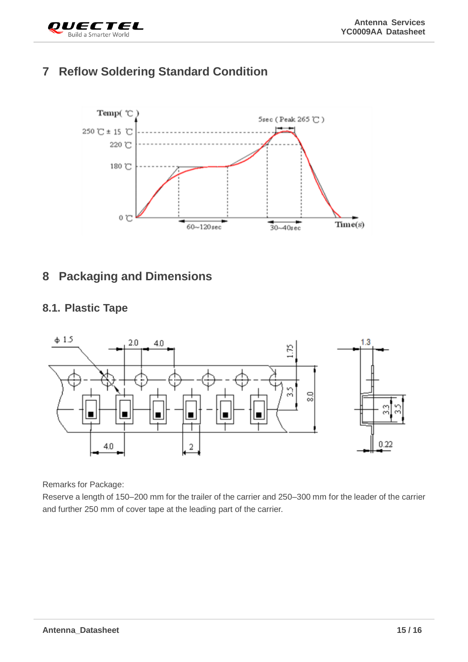

## <span id="page-15-0"></span>**7 Reflow Soldering Standard Condition**



## <span id="page-15-1"></span>**8 Packaging and Dimensions**

## <span id="page-15-2"></span>**8.1. Plastic Tape**



Remarks for Package:

Reserve a length of 150–200 mm for the trailer of the carrier and 250–300 mm for the leader of the carrier and further 250 mm of cover tape at the leading part of the carrier.